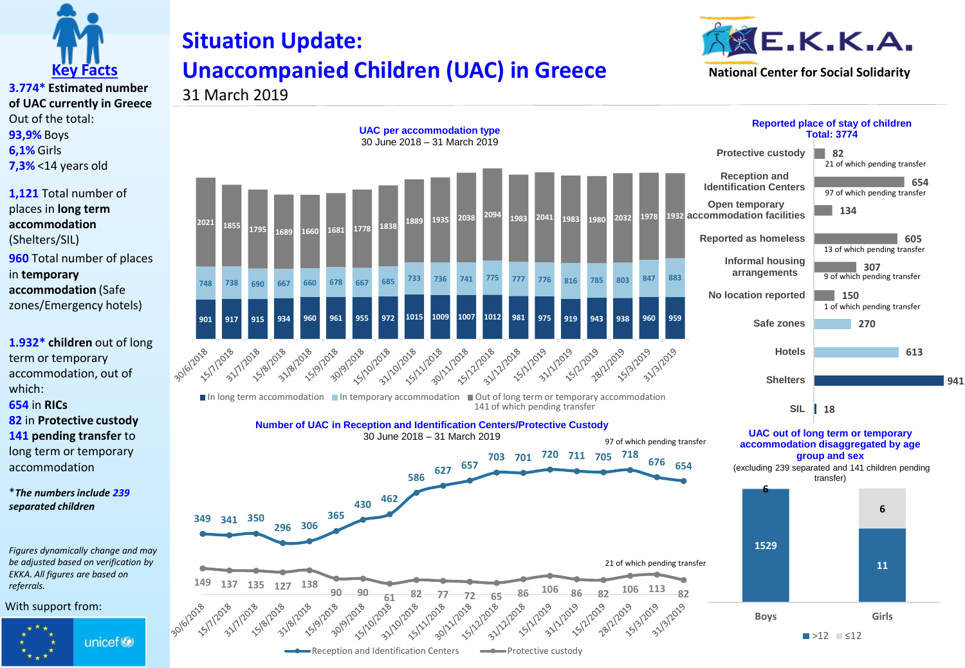

## **Situation Update: Unaccompanied Children (UAC) in Greece**



**941**

**3.774\* Estimated number of UAC currently in Greece** Out of the total: **93,9%** Boys **6,1%** Girls **7,3%** <14 years old

**1,121** Total number of places in **long term accommodation**  (Shelters/SIL) **960** Total number of places in **temporary accommodation** (Safe zones/Emergency hotels)

**1.932\* children** out of long term or temporary accommodation, out of which:

**654** in **RICs**

**82** in **Protective custody 141 pending transfer** to long term or temporary accommodation

\**The numbers include 239 separated children*

*Figures dynamically change and may be adjusted based on verification by EKKA. All figures are based on referrals.* 

With support from:



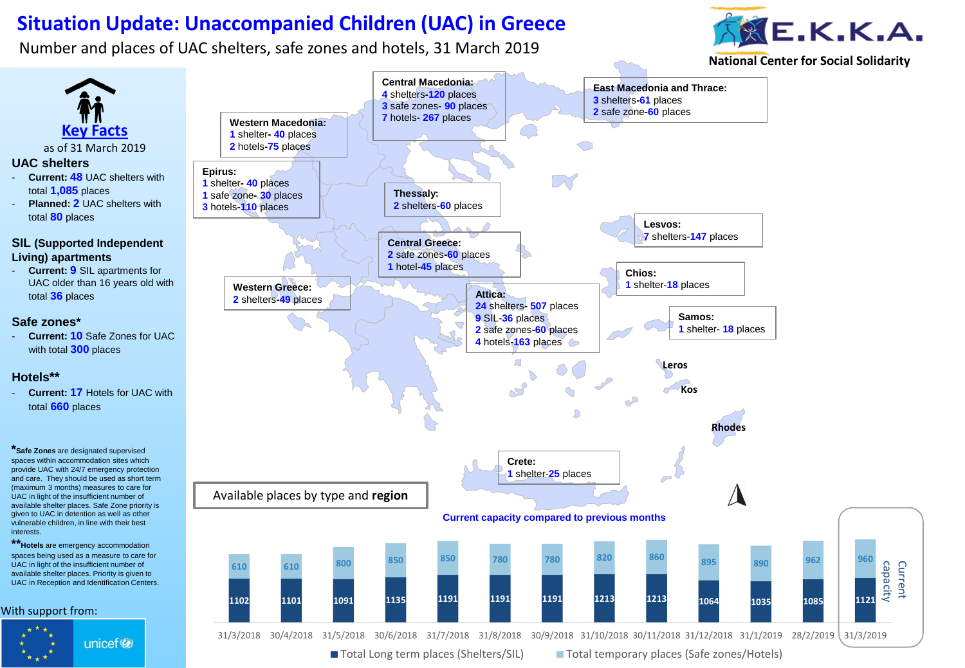## **Situation Update: Unaccompanied Children (UAC) in Greece**

Number and places of UAC shelters, safe zones and hotels, 31 March 2019

interests.



**National Center for Social Solidarity**